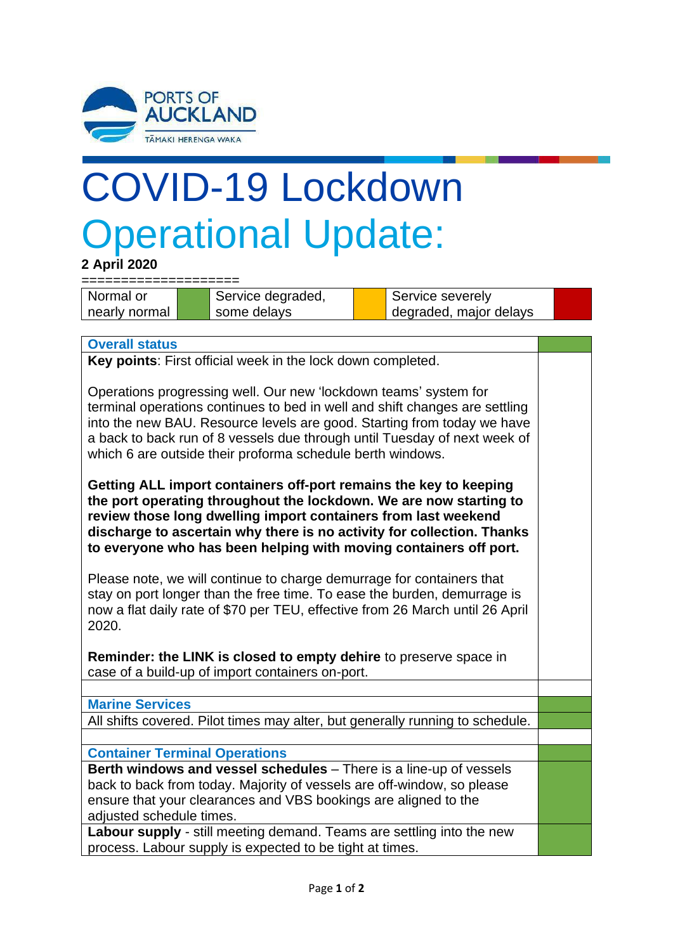

## COVID-19 Lockdown Operational Update:

**2 April 2020**

====================

Normal or nearly normal

Service degraded, some delays

Service severely degraded, major delays

**Overall status**

**Key points**: First official week in the lock down completed.

Operations progressing well. Our new 'lockdown teams' system for terminal operations continues to bed in well and shift changes are settling into the new BAU. Resource levels are good. Starting from today we have a back to back run of 8 vessels due through until Tuesday of next week of which 6 are outside their proforma schedule berth windows.

**Getting ALL import containers off-port remains the key to keeping the port operating throughout the lockdown. We are now starting to review those long dwelling import containers from last weekend discharge to ascertain why there is no activity for collection. Thanks to everyone who has been helping with moving containers off port.**

Please note, we will continue to charge demurrage for containers that stay on port longer than the free time. To ease the burden, demurrage is now a flat daily rate of \$70 per TEU, effective from 26 March until 26 April 2020.

**Reminder: the LINK is closed to empty dehire** to preserve space in case of a build-up of import containers on-port.

**Marine Services**

All shifts covered. Pilot times may alter, but generally running to schedule.

**Container Terminal Operations**

**Berth windows and vessel schedules** – There is a line-up of vessels back to back from today. Majority of vessels are off-window, so please ensure that your clearances and VBS bookings are aligned to the adjusted schedule times.

**Labour supply** - still meeting demand. Teams are settling into the new process. Labour supply is expected to be tight at times.